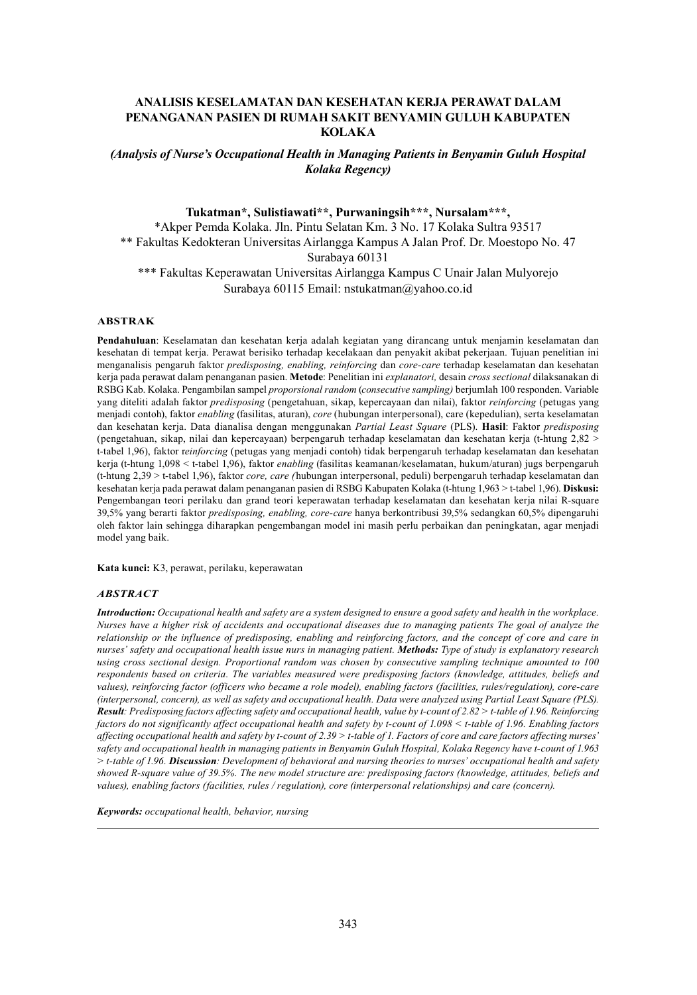## **ANALISIS KESELAMATAN DAN KESEHATAN KERJA PERAWAT DALAM 2ENANGANAN PASIEN DI RUMAH SAKIT BENYAMIN GULUH KABUPATEN KOLAKA**

*(Analysis of Nurse's Occupational Health in Managing Patients in Benyamin Guluh Hospital Kolaka Regency)*

## Tukatman\*, Sulistiawati\*\*, Purwaningsih\*\*\*, Nursalam\*\*\*,

\*Akper Pemda Kolaka. Jln. Pintu Selatan Km. 3 No. 17 Kolaka Sultra 93517 \*\* Fakultas Kedokteran Universitas Airlangga Kampus A Jalan Prof. Dr. Moestopo No. 47 Surabaya 60131 \*\*\* Fakultas Keperawatan Universitas Airlangga Kampus C Unair Jalan Mulyorejo Surabaya 60115 Email: nstukatman@yahoo.co.id

#### $ABSTRACT$

Pendahuluan: Keselamatan dan kesehatan kerja adalah kegiatan yang dirancang untuk menjamin keselamatan dan kesehatan di tempat kerja. Perawat berisiko terhadap kecelakaan dan penyakit akibat pekerjaan. Tujuan penelitian ini menganalisis pengaruh faktor *predisposing, enabling, reinforcing* dan *core-care* terhadap keselamatan dan kesehatan kerja pada perawat dalam penanganan pasien. Metode: Penelitian ini explanatori, desain cross sectional dilaksanakan di  $RSBGKab$ . Kolaka. Pengambilan sampel *proporsional random (consecutive sampling)* berjumlah 100 responden. Variable yang diteliti adalah faktor *predisposing* (pengetahuan, sikap, kepercayaan dan nilai), faktor *reinforcing* (petugas vang menjadi contoh), faktor *enabling* (fasilitas, aturan), core (hubungan interpersonal), care (kepedulian), serta keselamatan dan kesehatan kerja. Data dianalisa dengan menggunakan Partial Least Square (PLS). Hasil: Faktor predisposing (pengetahuan, sikap, nilai dan kepercayaan) berpengaruh terhadap keselamatan dan kesehatan kerja (t-htung  $2,82$  > t-tabel 1,96), faktor reinforcing (petugas yang menjadi contoh) tidak berpengaruh terhadap keselamatan dan kesehatan kerja (t-htung 1,098 < t-tabel 1,96), faktor enabling (fasilitas keamanan/keselamatan, hukum/aturan) jugs berpengaruh (t-htung 2,39 > t-tabel 1,96), faktor *core, care* (hubungan interpersonal, peduli) berpengaruh terhadap keselamatan dan kesehatan kerja pada perawat dalam penanganan pasien di RSBG Kabupaten Kolaka (t-htung 1,963 > t-tabel 1,96). Diskusi: Pengembangan teori perilaku dan grand teori keperawatan terhadap keselamatan dan kesehatan kerja nilai R-square 39,5% yang berarti faktor *predisposing, enabling, core-care* hanya berkontribusi 39,5% sedangkan 60,5% dipengaruhi oleh faktor lain sehingga diharapkan pengembangan model ini masih perlu perbaikan dan peningkatan, agar menjadi model yang baik.

Kata kunci: K3, perawat, perilaku, keperawatan

#### *ABSTRACT*

*Introduction: Occupational health and safety are a system designed to ensure a good safety and health in the workplace. Nurses have a higher risk of accidents and occupational diseases due to managing patients The goal of analyze the relationship or the influence of predisposing, enabling and reinforcing factors, and the concept of core and care in nurses' safety and occupational health issue nurs in managing patient. Methods: Type of study is explanatory research using cross sectional design. Proportional random was chosen by consecutive sampling technique amounted to 100 respondents based on criteria. The variables measured were predisposing factors (knowledge, attitudes, beliefs and values), reinforcing factor (officers who became a role model), enabling factors (facilities, rules/regulation), core-care (interpersonal, concern), as well as safety and occupational health. Data were analyzed using Partial Least Square (PLS). Result: Predisposing factors affecting safety and occupational health, value by t-count of 2.82 > t-table of 1.96. Reinforcing factors do not significantly affect occupational health and safety by t-count of 1.098 < t-table of 1.96. Enabling factors affecting occupational health and safety by t-count of 2.39 > t-table of 1. Factors of core and care factors affecting nurses' safety and occupational health in managing patients in Benyamin Guluh Hospital, Kolaka Regency have t-count of 1.963 > t-table of 1.96. Discussion: Development of behavioral and nursing theories to nurses' occupational health and safety showed R-square value of 39.5%. The new model structure are: predisposing factors (knowledge, attitudes, beliefs and values), enabling factors (facilities, rules / regulation), core (interpersonal relationships) and care (concern).*

*Keywords: occupational health, behavior, nursing*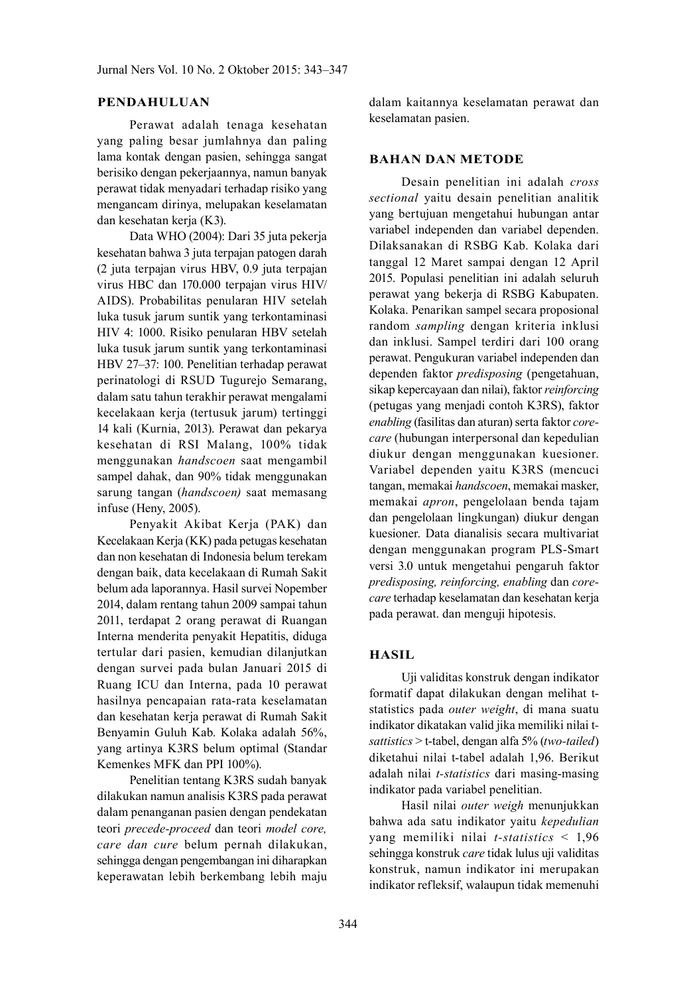## **PENDAHULUAN**

Perawat adalah tenaga kesehatan yang paling besar jumlahnya dan paling lama kontak dengan pasien, sehingga sangat berisiko dengan pekerjaannya, namun banyak perawat tidak menyadari terhadap risiko yang mengancam dirinya, melupakan keselamatan dan kesehatan kerja (K3).

Data WHO (2004): Dari 35 juta pekerja kesehatan bahwa 3 juta terpajan patogen darah (2 juta terpajan virus HBV, 0.9 juta terpajan virus HBC dan 170.000 terpajan virus HIV/ AIDS). Probabilitas penularan HIV setelah luka tusuk jarum suntik yang terkontaminasi HIV 4: 1000. Risiko penularan HBV setelah luka tusuk jarum suntik yang terkontaminasi HBV 27-37: 100. Penelitian terhadap perawat perinatologi di RSUD Tugurejo Semarang, dalam satu tahun terakhir perawat mengalami kecelakaan kerja (tertusuk jarum) tertinggi 14 kali (Kurnia, 2013). Perawat dan pekarya kesehatan di RSI Malang, 100% tidak menggunakan *handscoen* saat mengambil sampel dahak, dan 90% tidak menggunakan sarung tangan (handscoen) saat memasang infuse (Heny, 2005).

Penyakit Akibat Kerja (PAK) dan Kecelakaan Kerja (KK) pada petugas kesehatan dan non kesehatan di Indonesia belum terekam dengan baik, data kecelakaan di Rumah Sakit belum ada laporannya. Hasil survei Nopember 2014, dalam rentang tahun 2009 sampai tahun 2011, terdapat 2 orang perawat di Ruangan Interna menderita penyakit Hepatitis, diduga tertular dari pasien, kemudian dilanjutkan dengan survei pada bulan Januari 2015 di Ruang ICU dan Interna, pada 10 perawat hasilnya pencapaian rata-rata keselamatan dan kesehatan kerja perawat di Rumah Sakit Benyamin Guluh Kab. Kolaka adalah 56%, yang artinya K3RS belum optimal (Standar Kemenkes MFK dan PPI 100%).

Penelitian tentang K3RS sudah banyak dilakukan namun analisis K3RS pada perawat dalam penanganan pasien dengan pendekatan teori precede-proceed dan teori model core, care dan cure belum pernah dilakukan, sehingga dengan pengembangan ini diharapkan keperawatan lebih berkembang lebih maju

dalam kaitannya keselamatan perawat dan keselamatan pasien.

### **BAHAN DAN METODE**

Desain penelitian ini adalah cross sectional yaitu desain penelitian analitik yang bertujuan mengetahui hubungan antar variabel independen dan variabel dependen. Dilaksanakan di RSBG Kab. Kolaka dari tanggal 12 Maret sampai dengan 12 April 2015. Populasi penelitian ini adalah seluruh perawat yang bekerja di RSBG Kabupaten. Kolaka. Penarikan sampel secara proposional random sampling dengan kriteria inklusi dan inklusi. Sampel terdiri dari 100 orang perawat. Pengukuran variabel independen dan dependen faktor *predisposing* (pengetahuan, sikap kepercayaan dan nilai), faktor *reinforcing* (petugas yang menjadi contoh K3RS), faktor enabling (fasilitas dan aturan) serta faktor corecare (hubungan interpersonal dan kepedulian diukur dengan menggunakan kuesioner. Variabel dependen yaitu K3RS (mencuci tangan, memakai handscoen, memakai masker, memakai *apron*, pengelolaan benda tajam dan pengelolaan lingkungan) diukur dengan kuesioner. Data dianalisis secara multivariat dengan menggunakan program PLS-Smart versi 3.0 untuk mengetahui pengaruh faktor predisposing, reinforcing, enabling dan corecare terhadap keselamatan dan kesehatan kerja pada perawat. dan menguji hipotesis.

# **HASIL**

Uji validitas konstruk dengan indikator formatif dapat dilakukan dengan melihat tstatistics pada *outer* weight, di mana suatu indikator dikatakan valid jika memiliki nilai tsattistics > t-tabel, dengan alfa 5% (two-tailed) diketahui nilai t-tabel adalah 1,96. Berikut adalah nilai t-statistics dari masing-masing indikator pada variabel penelitian.

Hasil nilai outer weigh menunjukkan bahwa ada satu indikator yaitu kepedulian yang memiliki nilai *t-statistics* <  $1,96$ sehingga konstruk care tidak lulus uji validitas konstruk, namun indikator ini merupakan indikator refleksif, walaupun tidak memenuhi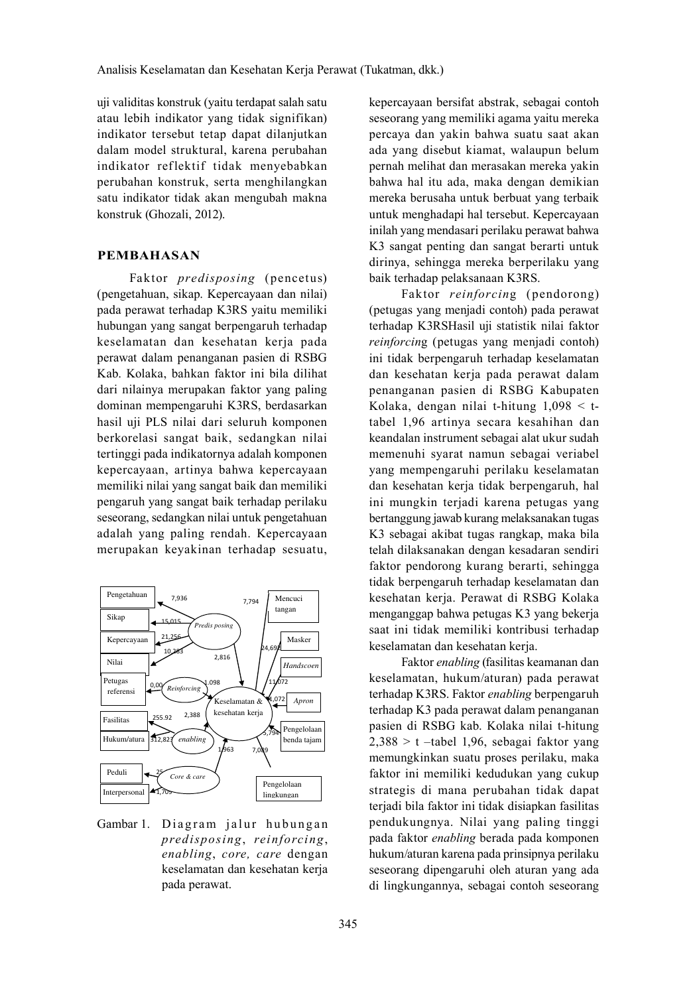uji validitas konstruk (vaitu terdapat salah satu atau lebih indikator yang tidak signifikan) indikator tersebut tetap dapat dilanjutkan dalam model struktural, karena perubahan indikator reflektif tidak menyebabkan perubahan konstruk, serta menghilangkan satu indikator tidak akan mengubah makna konstruk (Ghozali, 2012).

## PEMBAHASAN

Faktor *predisposing* (pencetus) (pengetahuan, sikap. Kepercayaan dan nilai) pada perawat terhadap K3RS yaitu memiliki hubungan yang sangat berpengaruh terhadap keselamatan dan kesehatan kerja pada perawat dalam penanganan pasien di RSBG Kab. Kolaka, bahkan faktor ini bila dilihat dari nilainya merupakan faktor yang paling dominan mempengaruhi K3RS, berdasarkan hasil uji PLS nilai dari seluruh komponen berkorelasi sangat baik, sedangkan nilai tertinggi pada indikatornya adalah komponen kepercayaan, artinya bahwa kepercayaan memiliki nilai yang sangat baik dan memiliki pengaruh yang sangat baik terhadap perilaku seseorang, sedangkan nilai untuk pengetahuan adalah yang paling rendah. Kepercayaan merupakan keyakinan terhadap sesuatu,



Gambar 1. Diagram jalur hubungan *predisposing reinforcing enabling, core, care dengan* keselamatan dan kesehatan kerja pada perawat.

kepercayaan bersifat abstrak, sebagai contoh seseorang yang memiliki agama yaitu mereka percaya dan yakin bahwa suatu saat akan ada yang disebut kiamat, walaupun belum pernah melihat dan merasakan mereka yakin bahwa hal itu ada, maka dengan demikian mereka berusaha untuk berbuat yang terbaik untuk menghadapi hal tersebut. Kepercayaan inilah yang mendasari perilaku perawat bahwa K3 sangat penting dan sangat berarti untuk dirinya, sehingga mereka berperilaku yang baik terhadap pelaksanaan K3RS.

Faktor *reinforcing* (pendorong) (petugas yang menjadi contoh) pada perawat terhadap K3RSHasil uji statistik nilai faktor *reinforcing* (petugas yang menjadi contoh) ini tidak berpengaruh terhadap keselamatan dan kesehatan kerja pada perawat dalam penanganan pasien di RSBG Kabupaten Kolaka, dengan nilai t-hitung  $1,098 < t$ tabel 1,96 artinya secara kesahihan dan keandalan instrument sebagai alat ukur sudah memenuhi syarat namun sebagai veriabel yang mempengaruhi perilaku keselamatan dan kesehatan kerja tidak berpengaruh, hal ini mungkin terjadi karena petugas yang bertanggung jawab kurang melaksanakan tugas K3 sebagai akibat tugas rangkap, maka bila telah dilaksanakan dengan kesadaran sendiri faktor pendorong kurang berarti, sehingga tidak berpengaruh terhadap keselamatan dan kesehatan kerja. Perawat di RSBG Kolaka menganggap bahwa petugas K3 yang bekerja saat ini tidak memiliki kontribusi terhadap keselamatan dan kesehatan kerja.

Faktor enabling (fasilitas keamanan dan keselamatan, hukum/aturan) pada perawat terhadap K3RS. Faktor enabling berpengaruh terhadap K3 pada perawat dalam penanganan pasien di RSBG kab. Kolaka nilai t-hitung  $2,388 > t$  -tabel 1,96, sebagai faktor yang memungkinkan suatu proses perilaku, maka faktor ini memiliki kedudukan yang cukup strategis di mana perubahan tidak dapat terjadi bila faktor ini tidak disiapkan fasilitas pendukungnya. Nilai yang paling tinggi pada faktor *enabling* berada pada komponen hukum/aturan karena pada prinsipnya perilaku seseorang dipengaruhi oleh aturan yang ada di lingkungannya, sebagai contoh seseorang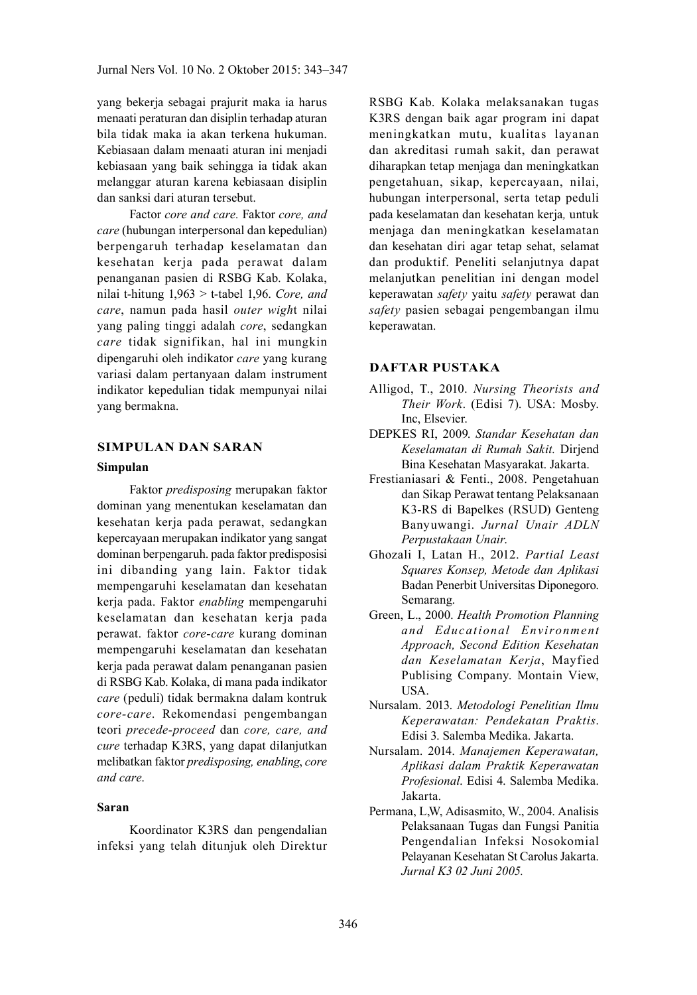vang bekerja sebagai prajurit maka ia harus menaati peraturan dan disiplin terhadap aturan bila tidak maka ia akan terkena hukuman. Kebiasaan dalam menaati aturan ini menjadi kebiasaan yang baik sehingga ia tidak akan melanggar aturan karena kebiasaan disiplin dan sanksi dari aturan tersebut.

Factor core and care. Faktor core, and care (hubungan interpersonal dan kepedulian) berpengaruh terhadap keselamatan dan kesehatan kerja pada perawat dalam penanganan pasien di RSBG Kab. Kolaka, nilai t-hitung  $1,963 >$  t-tabel 1,96. Core, and care, namun pada hasil outer wight nilai yang paling tinggi adalah core, sedangkan care tidak signifikan, hal ini mungkin dipengaruhi oleh indikator care yang kurang variasi dalam pertanyaan dalam instrument indikator kepedulian tidak mempunyai nilai vang bermakna.

### **SIMPULAN DAN SARAN**

#### **Simpulan**

Faktor predisposing merupakan faktor dominan yang menentukan keselamatan dan kesehatan kerja pada perawat, sedangkan kepercayaan merupakan indikator yang sangat dominan berpengaruh, pada faktor predisposisi ini dibanding yang lain. Faktor tidak mempengaruhi keselamatan dan kesehatan kerja pada. Faktor enabling mempengaruhi keselamatan dan kesehatan kerja pada perawat. faktor core-care kurang dominan mempengaruhi keselamatan dan kesehatan kerja pada perawat dalam penanganan pasien di RSBG Kab. Kolaka, di mana pada indikator care (peduli) tidak bermakna dalam kontruk core-care. Rekomendasi pengembangan teori precede-proceed dan core, care, and cure terhadap K3RS, yang dapat dilanjutkan melibatkan faktor predisposing, enabling, core and care.

## Saran

Koordinator K3RS dan pengendalian infeksi yang telah ditunjuk oleh Direktur

RSBG Kab. Kolaka melaksanakan tugas K3RS dengan baik agar program ini dapat meningkatkan mutu, kualitas layanan dan akreditasi rumah sakit, dan perawat diharapkan tetap menjaga dan meningkatkan pengetahuan, sikap, kepercayaan, nilai, hubungan interpersonal, serta tetap peduli pada keselamatan dan kesehatan kerja, untuk menjaga dan meningkatkan keselamatan dan kesehatan diri agar tetap sehat, selamat dan produktif. Peneliti selanjutnya dapat melanjutkan penelitian ini dengan model keperawatan safety yaitu safety perawat dan safety pasien sebagai pengembangan ilmu keperawatan.

#### **DAFTAR PUSTAKA**

- Alligod, T., 2010. Nursing Theorists and Their Work. (Edisi 7). USA: Mosby. Inc. Elsevier.
- DEPKES RI, 2009. Standar Kesehatan dan Keselamatan di Rumah Sakit. Dirjend Bina Kesehatan Masyarakat. Jakarta.
- Frestianiasari & Fenti., 2008. Pengetahuan dan Sikap Perawat tentang Pelaksanaan K3-RS di Bapelkes (RSUD) Genteng Banyuwangi. Jurnal Unair ADLN Perpustakaan Unair.
- Ghozali I, Latan H., 2012. Partial Least Squares Konsep, Metode dan Aplikasi Badan Penerbit Universitas Diponegoro. Semarang.
- Green, L., 2000. Health Promotion Planning and Educational Environment Approach, Second Edition Kesehatan dan Keselamatan Kerja, Mayfied Publising Company. Montain View, USA.
- Nursalam. 2013. Metodologi Penelitian Ilmu Keperawatan: Pendekatan Praktis. Edisi 3. Salemba Medika. Jakarta.
- Nursalam. 2014. Manajemen Keperawatan, Aplikasi dalam Praktik Keperawatan Profesional. Edisi 4. Salemba Medika. Jakarta.
- Permana, L,W, Adisasmito, W., 2004. Analisis Pelaksanaan Tugas dan Fungsi Panitia Pengendalian Infeksi Nosokomial Pelayanan Kesehatan St Carolus Jakarta. Jurnal K3 02 Juni 2005.